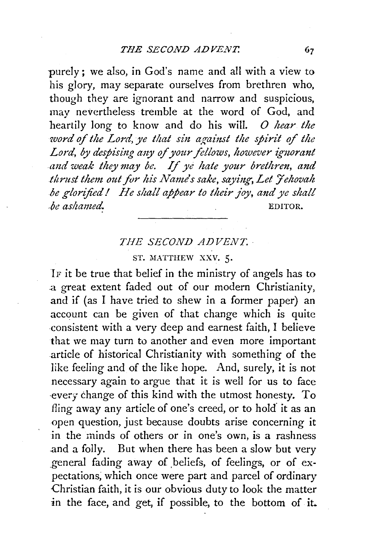purely; we also, in God's name and all with a view to his glory, may separate ourselves from brethren who, though they are ignorant and narrow and suspicious, may nevertheless tremble at the word of God, and heartily long to know and do his will. *0 hear the*  word of the Lord, ye that sin against the spirit of the Lord, by despising any of your fellows, however ignorant *and weak they may be. If ye hate your brethren, and lltrztst them out for his Name's sake, saying, Let 'Jehovah be glorified* I *He shall appear to their joy, and ye shall be ashamed.* EDITOR.

## *THE SECOND ADVENT.*

## ST. MATTHEW XXV. 5.

IF it be true that belief in the ministry of angels has to a great extent faded out of our modern Christianity, and if (as I have tried to shew in a former paper) an account can be given of that change which is quite consistent with a very deep and earnest faith, I believe that we may turn to another and even more important article of historical Christianity with something of the like feeling and of the like hope. And, surely, it is not necessary again to argue that it is well for us to face ·every change of this kind with the utmost honesty. To fling away any article of one's creed, or to hold' it as an open question, just because doubts arise concerning it in the minds of others or in one's own, is a rashness .and a folly. But when there has been a slow but very general fading away of beliefs, of feelings, or of expectations; which once were part and parcel of ordinary Christian faith, it is our obvious duty to look the matter in the face, and get, if possible, to the bottom of it.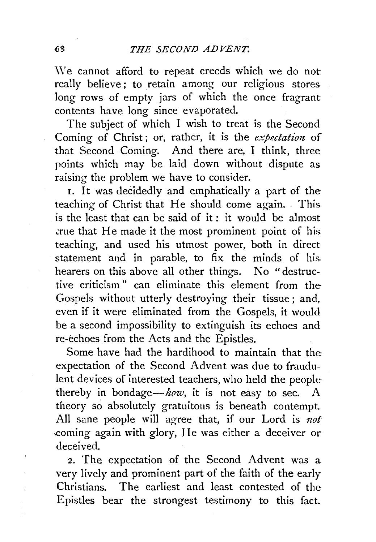We cannot afford to repeat creeds which we do not really believe ; to retain among our religious stores long rows of empty jars of which the once fragrant contents have long since evaporated.

The subject of which I wish to treat is the Second Coming of Christ; or, rather, it is the *expectation* of that Second Coming. And there are, I think, three points which may be laid down without dispute as raising the problem we have to consider.

I. It was decidedly and emphatically a part of the teaching of Christ that He should come again. This. is the least that can be said of it: it would be almost .:rue that He made it the most prominent point of his. teaching, and used his utmost power, both in direct statement and in parable, to fix the minds of his. hearers on this above all other things. No "destructive criticism " can eliminate this element from the Gospels without utterly destroying their tissue ; and, even if it were eliminated from the Gospels, it would be a second impossibility to extinguish its echoes and re-echoes from the Acts and the Epistles.

Some have had the hardihood to maintain that the expectation of the Second Advent was due to fraudulent devices of interested teachers, who held the people thereby in bondage-how, it is not easy to see. A theory so absolutely gratuitous is beneath contempt. All sane people will agree that, if our Lord is *not*  ,coming again with glory, He was either a deceiver or deceived.

2. The expectation of the Second Advent was a very lively and prominent part of the faith of the early Christians. The earliest and least contested of the Epistles bear the strongest testimony to this fact.

 $\lambda$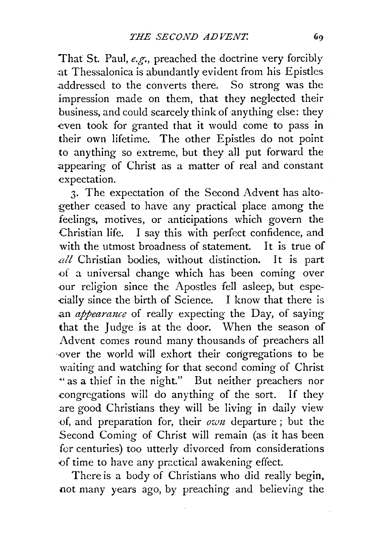That St. Paul, *e.g.,* preached the doctrine very forcibly .at Thessalonica is abundantly evident from his Epistles .addressed to the converts there. So strong was the impression made on them, that they neglected their business, and could scarcely think of anything else: they even took for granted that it would come to pass in their own lifetime. The other Epistles do not point to anything so extreme, but they all put forward the appearing of Christ as a matter of real and constant expectation.

3. The expectation of the Second Advent has altogether ceased to have any practical place among the feelings, motives, or anticipations which govern the Christian life. I say this with perfect confidence, and with the utmost broadness of statement. It is true of all Christian bodies, without distinction. It is part -Of a universal change which has been coming over -our religion since the Apostles fell asleep, but espe- -cially since the birth of Science. I know that there is an *appearance* of really expecting the Day, of saying that the Judge is at the door. When the season of Advent comes round many thousands of preachers all ·-0ver the world will exhort their congregations to be waiting and watching for that second coming of Christ " as a thief in the night." But neither preachers nor -congregations will do anything of the sort. If they .are good Christians they will be living in daily view ·of, and preparation for, their *own* departure ; but the Second Coming of Christ will remain (as it has been for centuries) too utterly divorced from considerations of time to have any practical awakening effect.

There is a body of Christians who did really begin, not many years ago, by preaching and believing the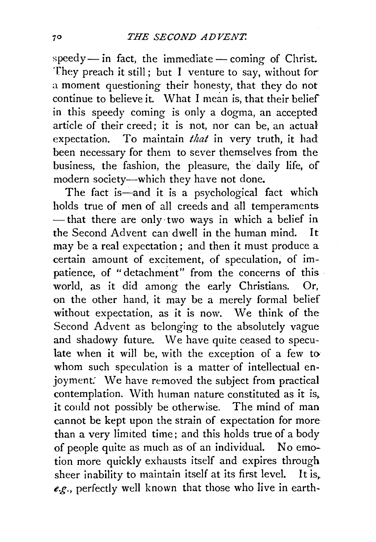$speedy$  - in fact, the immediate - coming of Christ. They preach it still; but I venture to say, without for a moment questioning their honesty, that they do not continue to believe it. What I mean is, that their belief in this speedy coming is only a dogma, an accepted article of their creed; it is not, nor can be, an actual expectation. To maintain *that* in very truth, it had been necessary for them to sever themselves from the business, the fashion, the pleasure, the daily life, of modern society-which they have not done.

The fact is—and it is a psychological fact which holds true of men of all creeds and all temperaments  $-$  that there are only two ways in which a belief in the Second Advent can dwell in the human mind. It may be a real expectation; and then it must produce a certain amount of excitement, of speculation, of impatience, of "detachment" from the concerns of this world, as it did among the early Christians. Or, on the other hand, it may be a merely formal belief without expectation, as it is now. We think of the Second Advent as belonging to the absolutely vague and shadowy future. We have quite ceased to speculate when it will be, with the exception of a few to whom such speculation is a matter of intellectual enjoyment: We have removed the subject from practical contemplation. With human nature constituted as it is, it could not possibly be otherwise. The mind of man cannot be kept upon the strain of expectation for more than a very limited time; and this holds true of a body of people quite as much as of an individual. No emotion more quickly exhausts itself and expires through sheer inability to maintain itself at its first level. It is, *e.g.,* perfectly well known that those who Jive in earth-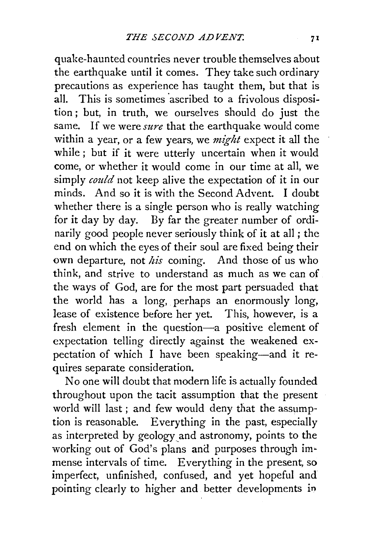quake-haunted countries never trouble themselves about the earthquake until it comes. They take such ordinary precautions as experience has taught them, but that is all. This is sometimes 'ascribed to a frivolous disposition; but, in truth, we ourselves should do just the same. If we were *sure* that the earthquake would come within a year, or a few years, we *might* expect it all the while; but if it were utterly uncertain when it would come, or whether it would come in our time at all, we simply *could* not keep alive the expectation of it in our minds. And so it is with the Second Advent. I doubt whether there is a single person who is really watching for it day by day. By far the greater number of ordinarily good people never seriously think of it at all ; the end on which the eyes of their soul are fixed being their own departure, not *his* coming. And those of us who think, and strive to understand as much as we can of the ways of God, are for the most part persuaded that the world has a long, perhaps an enormously long, lease of existence before her yet. This, however, is a fresh element in the question-a positive element of expectation telling directly against the weakened expectation of which I have been speaking-and it requires separate consideration.

No one will doubt that modern life is actually founded throughout upon the tacit assumption that the present world will last ; and few would deny that the assumption is reasonable. Everything in the past, especially as interpreted by geology and astronomy, points to the working out of God's plans and purposes through immense intervals of time. Everything in the present, so imperfect, unfinished, confused, and yet hopeful and pointing clearly to higher and better developments in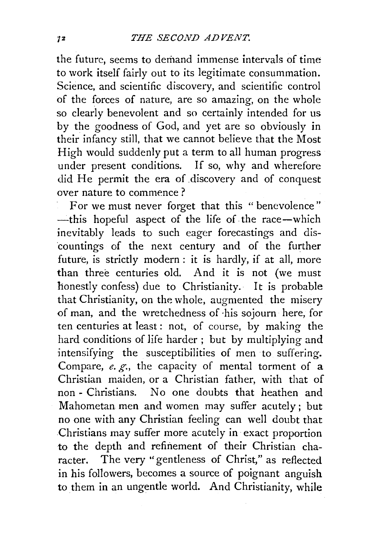the future, seems to demand immense intervals of time to work itself fairly out to its legitimate consummation. Science, and scientific discovery, and scientific control of the forces of nature, are so amazing, on the whole so clearly benevolent and so certainly intended for us by the goodness of God, and yet are so obviously in their infancy still, that we cannot believe that the Most High would suddenly put a term to all human progress under present conditions. If so, why and wherefore did He permit the era of discovery and of conquest over nature to commence ?

For we must never forget that this " benevolence" -this hopeful aspect of the life of the race-which inevitably leads to such eager forecastings and discountings of the next century and of the further future, is strictly modern : it is hardly, if at all, more than three centuries old. And it is not (we must honestly confess) due to Christianity. It is probable that Christianity, on the whole, augmented the misery of man, and the wretchedness of ·his sojourn here, for ten centuries at least: not, of course, by making the hard conditions of life harder ; but by multiplying and intensifying the susceptibilities of men to suffering. Compare, *e. g.,* the capacity of mental torment of a Christian maiden, or a Christian father, with that of non - Christians. No one doubts that heathen and Mahometan men and women may suffer acutely; but no one with any Christian feeling can well doubt that Christians may suffer more acutely in exact proportion to the depth and refinement of their Christian character. The very "gentleness of Christ," as reflected in his followers, becomes a source of poignant anguish to them in an ungentle world. And Christianity, while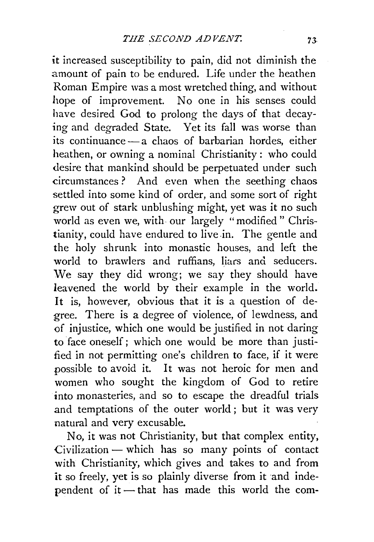it increased susceptibility to pain, did not diminish the amount of pain to be endured. Life under the heathen Roman Empire was a most wretched thing, and without hope of improvement. No one in his senses could have desired God to prolong the days of that decaying and degraded State. Yet its fall was worse than its continuance - a chaos of barbarian hordes, either heathen, or owning a nominal Christianity : who could desire that mankind should be perpetuated under such circumstances ? And even when the seething chaos settled into some kind of order, and some sort of right grew out of stark unblushing might, yet was it no such world as even we, with our largely "modified" Christianity, could have endured to live in. The gentle and the holy shrunk into monastic houses, and left the world to brawlers and ruffians, liars and seducers. We say they did wrong; we say they should have leavened the world by their example in the world. It is, however, obvious that it is a question of degree. There is a degree of violence, of lewdness, and of injustice, which one would be justified in not daring to face oneself; which one would be more than justified in not permitting one's children to face, if it were possible to avoid it. It was not heroic for men and women who sought the kingdom of God to retire into monasteries, and so to escape the dreadful trials and temptations of the outer world ; but it was very natural and very excusable.

No, it was not Christianity, but that complex entity, Civilization - which has so many points of contact with Christianity, which gives and takes to and from it so freely, yet is so plainly diverse from it and independent of it  $-$  that has made this world the com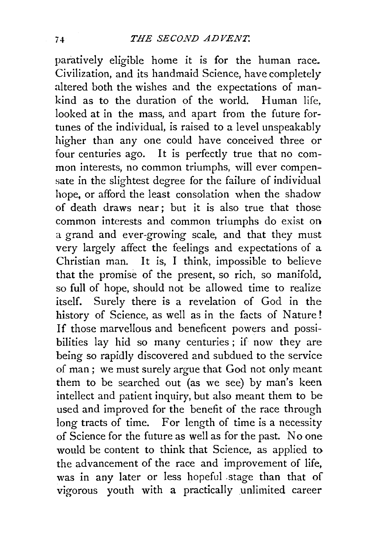paratively eligible home it is for the human race. Civilization, and its handmaid Science, have completely altered both the wishes and the expectations of mankind as to the duration of the world. Human life, looked at in the mass, and apart from the future fortunes of the individual, is raised to a level unspeakably higher than any one could have conceived three or four centuries ago. It is perfectly true that no common interests, no common triumphs, will ever compensate in the slightest degree for the failure of individual hope, or afford the least consolation when the shadow of death draws near; but it is also true that those common interests and common triumphs do exist on a grand and ever-growing scale, and that they must very largely affect the feelings and expectations of a Christian man. It is, I think, impossible to believe that the promise of the present, so rich, so manifold, so full of hope, should not be allowed time to realize itself. Surely there is a revelation of God in the history of Science, as well as in the facts of Nature! If those marvellous and beneficent powers and possibilities lay hid so many centuries ; if now they are being so rapidly discovered and subdued to the service of man; we must surely argue that God not only meant them to be searched out (as we see) by man's keen intellect and patient inquiry, but also meant them to be used and improved for the benefit of the race through long tracts of time. For length of time is a necessity of Science for the future as well as for the past. No one would be content to think that Science, as applied to the advancement of the race and improvement of life, was in any later or less hopeful .stage than that of vigorous youth with a practically unlimited career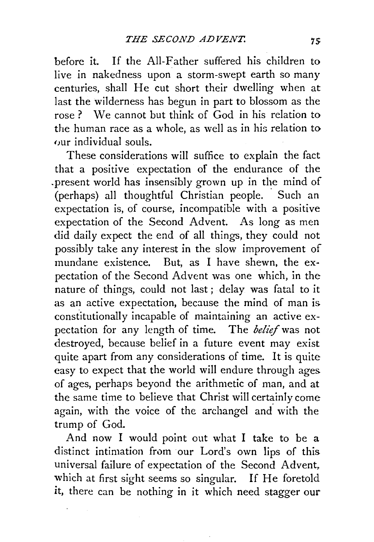before it. If the All-Father suffered his children to live in nakedness upon a storm-swept earth so many centuries, shall He cut short their dwelling when at last the wilderness has begun in part to blossom as the rose ? We cannot but think of God in his relation to the human race as a whole, as well as in his relation to our individual souls.

These considerations will suffice to explain the fact that a positive expectation of the endurance of the .present world has insensibly grown up in the mind of (perhaps) all thoughtful Christian people. Such an expectation is, of course, incompatible with a positive expectation of the Second Advent. As long as men did daily expect the end of all things, they could not possibly take any interest in the slow improvement of mundane existence. But, as I have shewn, the expectation of the Second Advent was one which, in the nature of things, could not last ; delay was fatal to it as an active expectation, because the mind of man is. constitutionally incapable of maintaining an active expectation for any length of time. The *belief* was not destroyed, because belief in a future event may exist quite apart from any considerations of time. It is quite easy to expect that the world will endure through ages. of ages, perhaps beyond the arithmetic of man, and at the same time to believe that Christ will certainly come again, with the voice of the archangel and with the trump of God.

And now I would point out what I take to be a distinct intimation from our Lord's own lips of this universal failure of expectation of the Second Advent, which at first sight seems so singular. If He foretold it, there can be nothing in it which need stagger our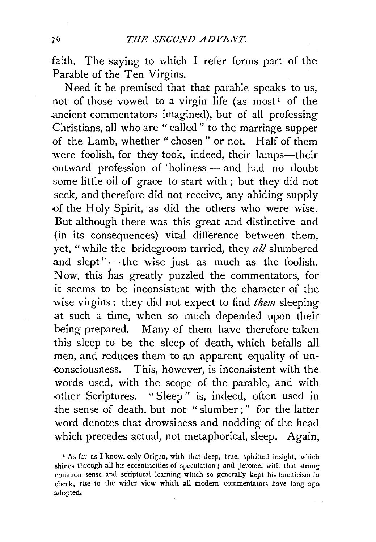faith. The saying to which  $I$  refer forms part of the Parable of the Ten Virgins.

Need it be premised that that parable speaks to us, not of those vowed to a virgin life (as most<sup>1</sup> of the .ancient commentators imagined), but of all professing Christians, all who are "called" to the marriage supper of the Lamb, whether " chosen " or not. Half of them were foolish, for they took, indeed, their lamps-their outward profession of 'holiness - and had no doubt some little oil of grace to start with ; but they did not seek, and therefore did not receive, any abiding supply of the Holy Spirit, as did the others who were wise. But although there was this great and distinctive and (in its consequences) vital difference between them, yet, "while the bridegroom tarried, they *all* slumbered and slept"-the wise just as much as the foolish. Now, this has greatly puzzled the commentators, for it seems to be inconsistent with the character of the wise virgins : they did not expect to find *them* sleeping at such a time, when so much depended upon their being prepared. Many of them have therefore taken this sleep to be the sleep of death, which befalls all men, and reduces them to an apparent equality of unconsciousness. This, however, is inconsistent with the words used, with the scope of the parable, and with other Scriptures. "Sleep" is, indeed, often used in the sense of death, but not "slumber;" for the latter word denotes that drowsiness and nodding of the head which precedes actual, not metaphorical, sleep. Again,

x As far as I know, only Origen, with that deep, true, spiritual insight, which .shines through all his eccentricities of speculation; and Jerome, with that strong common sense and scriptural learning which so generally kept his fanaticism in check, rise to the wider view which all modern commentators have long ago ·adopted.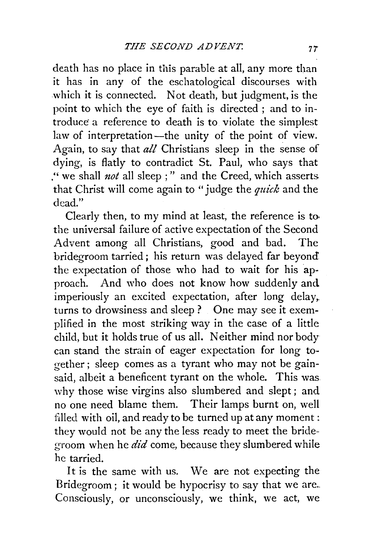death has no place in this parable at all, any more than it has in any of the eschatological discourses with which it is connected. Not death, but judgment, is the point to which the eye of faith is directed ; and to introduce a reference to death is to violate the simplest law of interpretation—the unity of the point of view. Again, to say that *all* Christians sleep in the sense of dying, is flatly to contradict St. Paul, who says that ." we shall *not* all sleep ; " and the Creed, which asserts. that Christ will come again to "judge the *quick* and the dead."

Clearly then, to my mind at least, the reference is to the universal failure of active expectation of the Second Advent among all Christians, good and bad. The bridegroom tarried ; his return was delayed far beyond. the expectation of those who had to wait for his approach. And who does not know how suddenly and imperiously an excited expectation, after long delay, turns to drowsiness and sleep? One may see it exemplified in the most striking way in the case of a little child, but it holds true of us all. Neither mind nor body can stand the strain of eager expectation for long together ; sleep comes as a tyrant who may not be gainsaid, albeit a beneficent tyrant on the whole. This was why those wise virgins also slumbered and slept; and no one need blame them. Their lamps burnt on, well filled with oil, and ready to be turned up at any moment: they would not be any the less ready to meet the bridegroom when he *did* come, because they slumbered while he tarried.

It is the same with us. We are not expecting the Bridegroom; it would be hypocrisy to say that we are... Consciously, or unconsciously, we think, we act, we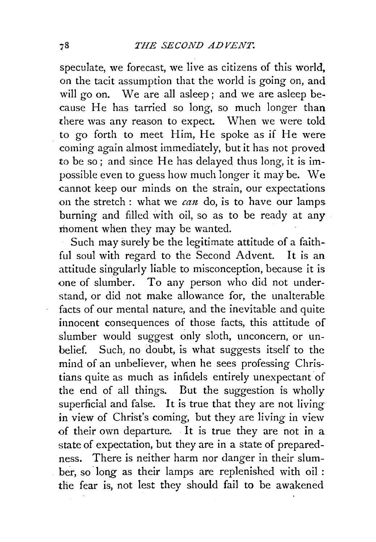speculate, we forecast, we live as citizens of this world, on the tacit assumption that the world is going on, and will go on. We are all asleep; and we are asleep because He has tarried so long, so much longer than there was any reason to expect. When we were told to go forth to meet Him, He spoke as if He were coming again almost immediately, but it has not proved to be so; and since He has delayed thus long, it is impossible even to guess how much longer it may be. We cannot keep our minds on the strain, our expectations on the stretch: what we *can* do, is to have our lamps burning and filled with oil, so as to be ready at any moment when they may be wanted.

Such may surely be the legitimate attitude of a faithful soul with regard to the Second Advent. It is an attitude singularly liable to misconception, because it is one of slumber. To any person who did not understand, or did not make allowance for, the unalterable facts of our mental nature, and the inevitable and quite innocent consequences of those facts, this attitude of slumber would suggest only sloth, unconcern, or unbelief. Such, no doubt, is what suggests itself to the mind of an unbeliever, when he sees professing Christians quite as much as infidels entirely unexpectant of the end of all things. But the suggestion is wholly superficial and false. It is true that they are not living in view of Christ's coming, but they are living in view of their own departure. . It is true they are not in a state of expectation, but they are in a state of preparedness. There is neither harm nor danger in their slumber, so· long as their lamps are replenished with oil : the fear is, not lest they should fail to be awakened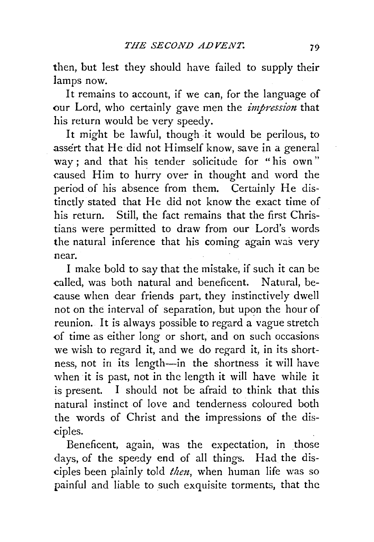then, but lest they should have failed to supply their lamps now.

It remains to account, if we can, for the language of our Lord, who certainly gave men the *impression* that his return would be very speedy.

It might be lawful, though it would be perilous, to .assert that He did not Himself know, save in a general way; and that his tender solicitude for "his own" caused Him to hurry over in thought and word the period of his absence from them. Certainly He distinctly stated that He did not know the exact time of his return. Still, the fact remains that the first Christians were permitted to draw from our Lord's words the natural inference that his coming again was very near.

I make bold to say that the mistake, if such it can be called, was both natural and beneficent. Natural, because when dear friends part, they instinctively dwell not on the interval of separation, but upon the hour of reunion. It is always possible to regard a vague stretch of time as either long or short, and on such occasions we wish to regard it, and we do regard it, in its shortness, not in its length-in the shortness it will have when it is past, not in the length it will have while it is present. I should not be afraid to think that this natural instinct of love and tenderness coloured both the words of Christ and the impressions of the disciples.

Beneficent, again, was the expectation, in those days, of the speedy end of all things. Had the disciples been plainly told *then,* when human life was so painful and liable to such exquisite torments, that the